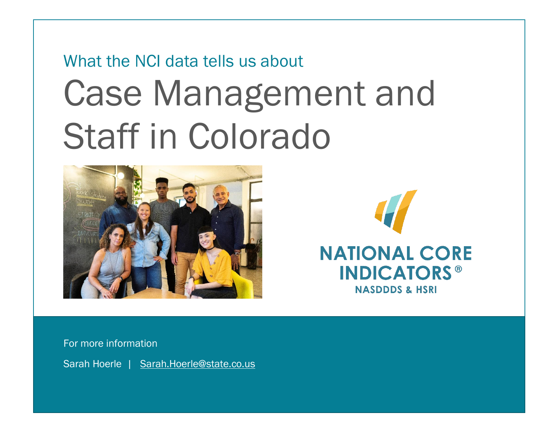# What the NCI data tells us about Case Management and Staff in Colorado





For more information

Sarah Hoerle | [Sarah.Hoerle@state.co.us](mailto:Sarah.Hoerle@state.co.us)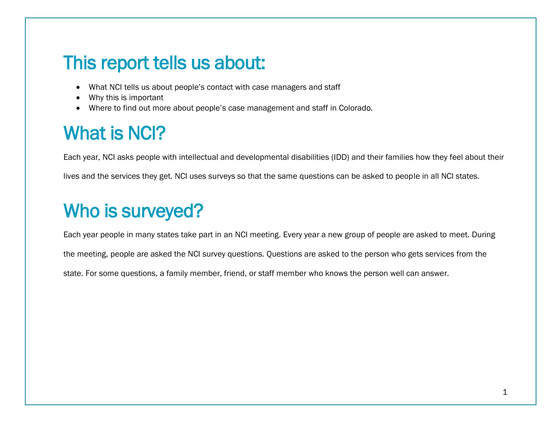## This report tells us about:

- What NCI tells us about people's contact with case managers and staff
- Why this is important
- Where to find out more about people's case management and staff in Colorado.

# What is NCI?

Each year, NCI asks people with intellectual and developmental disabilities (IDD) and their families how they feel about their lives and the services they get. NCI uses surveys so that the same questions can be asked to people in all NCI states.

## Who is surveyed?

Each year people in many states take part in an NCI meeting. Every year a new group of people are asked to meet. During the meeting, people are asked the NCI survey questions. Questions are asked to the person who gets services from the state. For some questions, a family member, friend, or staff member who knows the person well can answer.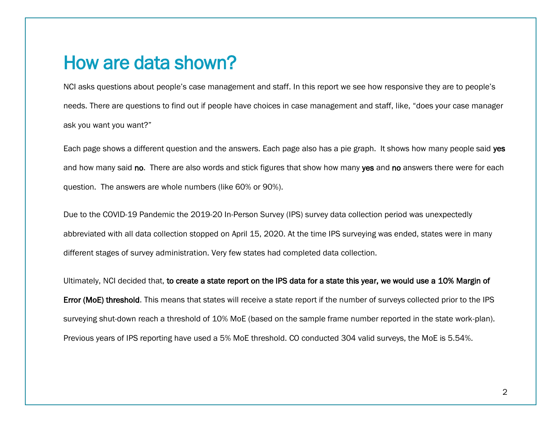#### How are data shown?

NCI asks questions about people's case management and staff. In this report we see how responsive they are to people's needs. There are questions to find out if people have choices in case management and staff, like, "does your case manager ask you want you want?"

Each page shows a different question and the answers. Each page also has a pie graph. It shows how many people said yes and how many said no. There are also words and stick figures that show how many yes and no answers there were for each question. The answers are whole numbers (like 60% or 90%).

Due to the COVID-19 Pandemic the 2019-20 In-Person Survey (IPS) survey data collection period was unexpectedly abbreviated with all data collection stopped on April 15, 2020. At the time IPS surveying was ended, states were in many different stages of survey administration. Very few states had completed data collection.

Ultimately, NCI decided that, to create a state report on the IPS data for a state this year, we would use a 10% Margin of Error (MoE) threshold. This means that states will receive a state report if the number of surveys collected prior to the IPS surveying shut-down reach a threshold of 10% MoE (based on the sample frame number reported in the state work-plan). Previous years of IPS reporting have used a 5% MoE threshold. CO conducted 304 valid surveys, the MoE is 5.54%.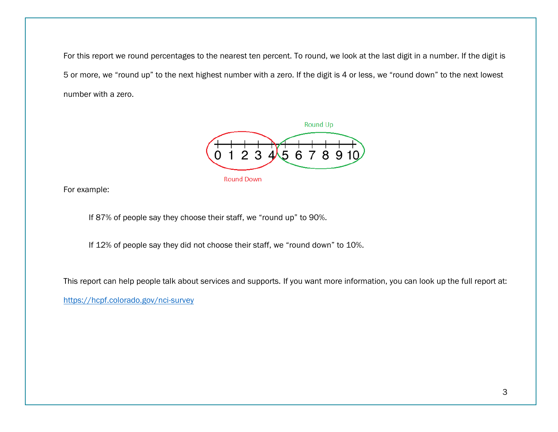For this report we round percentages to the nearest ten percent. To round, we look at the last digit in a number. If the digit is 5 or more, we "round up" to the next highest number with a zero. If the digit is 4 or less, we "round down" to the next lowest number with a zero.



For example:

If 87% of people say they choose their staff, we "round up" to 90%.

If 12% of people say they did not choose their staff, we "round down" to 10%.

This report can help people talk about services and supports. If you want more information, you can look up the full report at:

https://hcpf.colorado.gov/nci-survey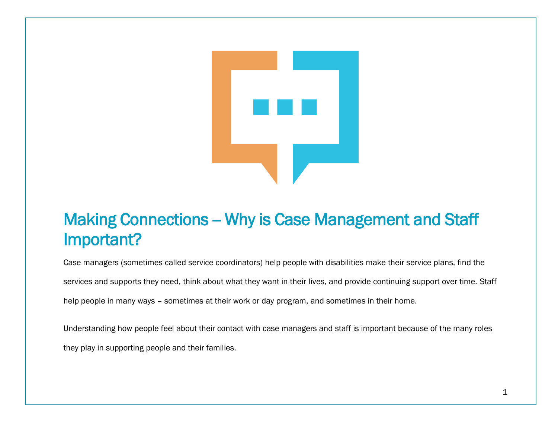

#### Making Connections - Why is Case Management and Staff Important?

Case managers (sometimes called service coordinators) help people with disabilities make their service plans, find the services and supports they need, think about what they want in their lives, and provide continuing support over time. Staff help people in many ways – sometimes at their work or day program, and sometimes in their home.

Understanding how people feel about their contact with case managers and staff is important because of the many roles they play in supporting people and their families.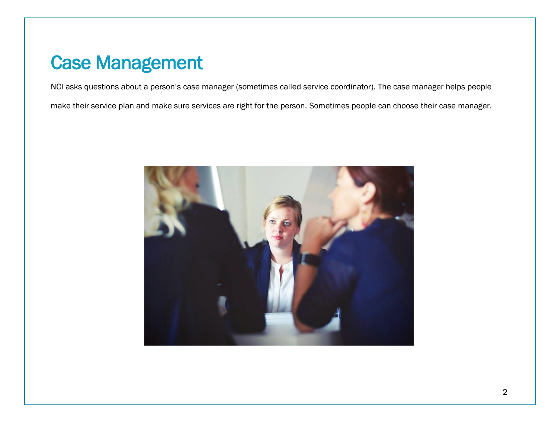## Case Management

NCI asks questions about a person's case manager (sometimes called service coordinator). The case manager helps people

make their service plan and make sure services are right for the person. Sometimes people can choose their case manager.

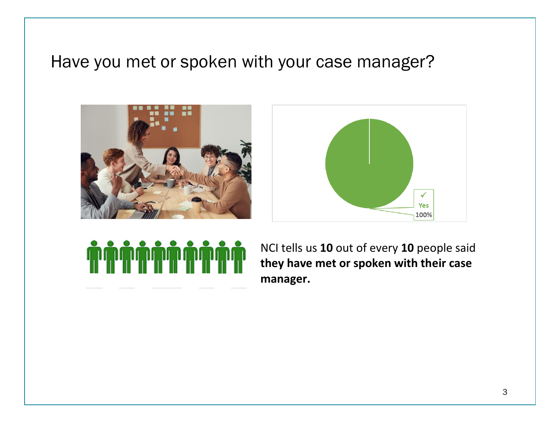## Have you met or spoken with your case manager?







NCI tells us **10** out of every **10** people said **they have met or spoken with their case manager.**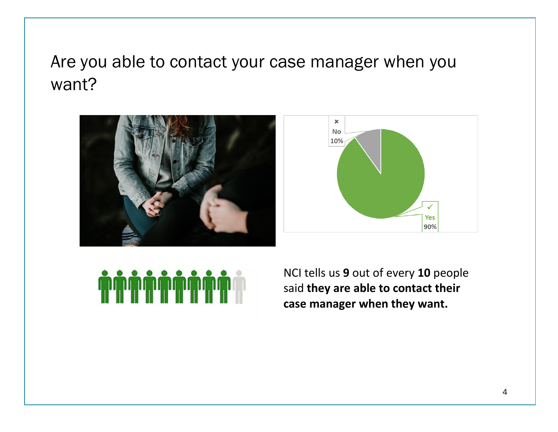## Are you able to contact your case manager when you want?





NCI tells us **9** out of every **10** people said **they are able to contact their case manager when they want.**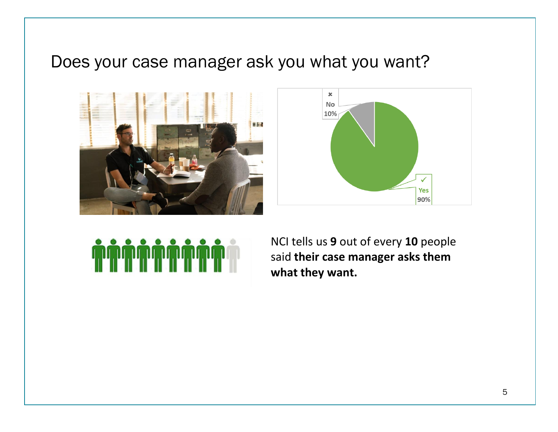#### Does your case manager ask you what you want?







NCI tells us **9** out of every **10** people said **their case manager asks them what they want.**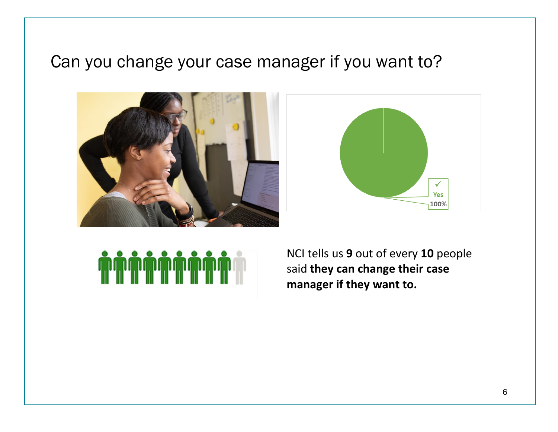#### Can you change your case manager if you want to?







NCI tells us **9** out of every **10** people said **they can change their case manager if they want to.**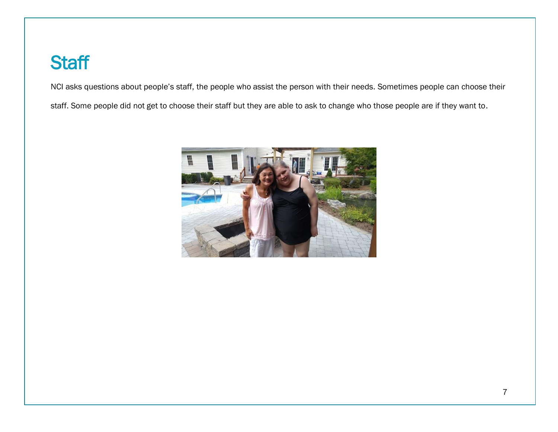## **Staff**

NCI asks questions about people's staff, the people who assist the person with their needs. Sometimes people can choose their

staff. Some people did not get to choose their staff but they are able to ask to change who those people are if they want to.

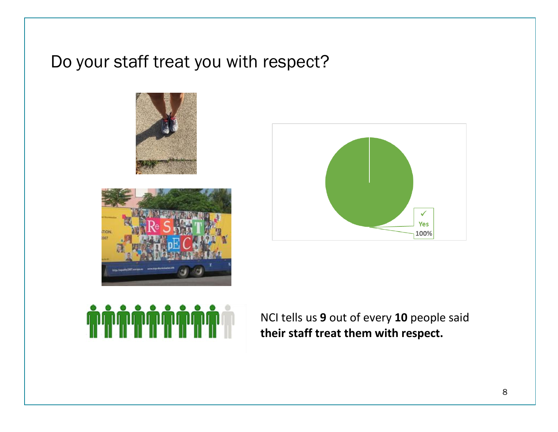### Do your staff treat you with respect?







NCI tells us **9** out of every **10** people said **their staff treat them with respect.**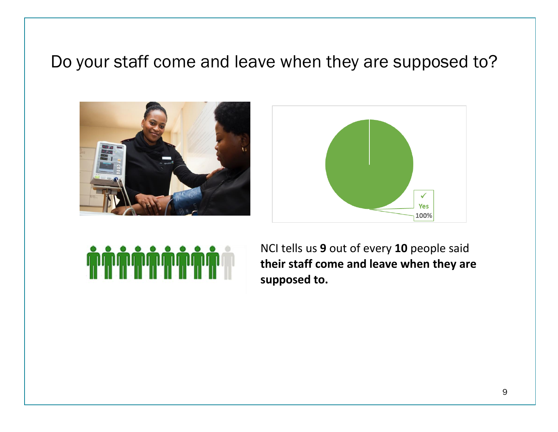#### Do your staff come and leave when they are supposed to?







NCI tells us **9** out of every **10** people said **their staff come and leave when they are supposed to.**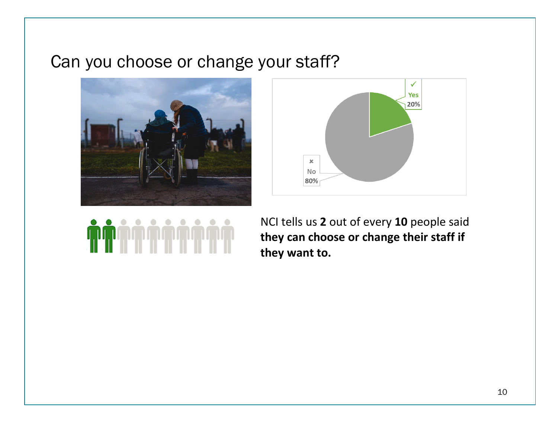#### Can you choose or change your staff?







NCI tells us **2** out of every **10** people said **they can choose or change their staff if they want to.**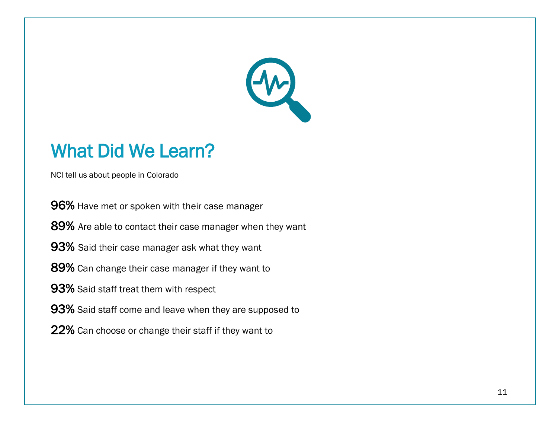

## What Did We Learn?

NCI tell us about people in Colorado

96% Have met or spoken with their case manager

89% Are able to contact their case manager when they want

93% Said their case manager ask what they want

89% Can change their case manager if they want to

93% Said staff treat them with respect

93% Said staff come and leave when they are supposed to

22% Can choose or change their staff if they want to